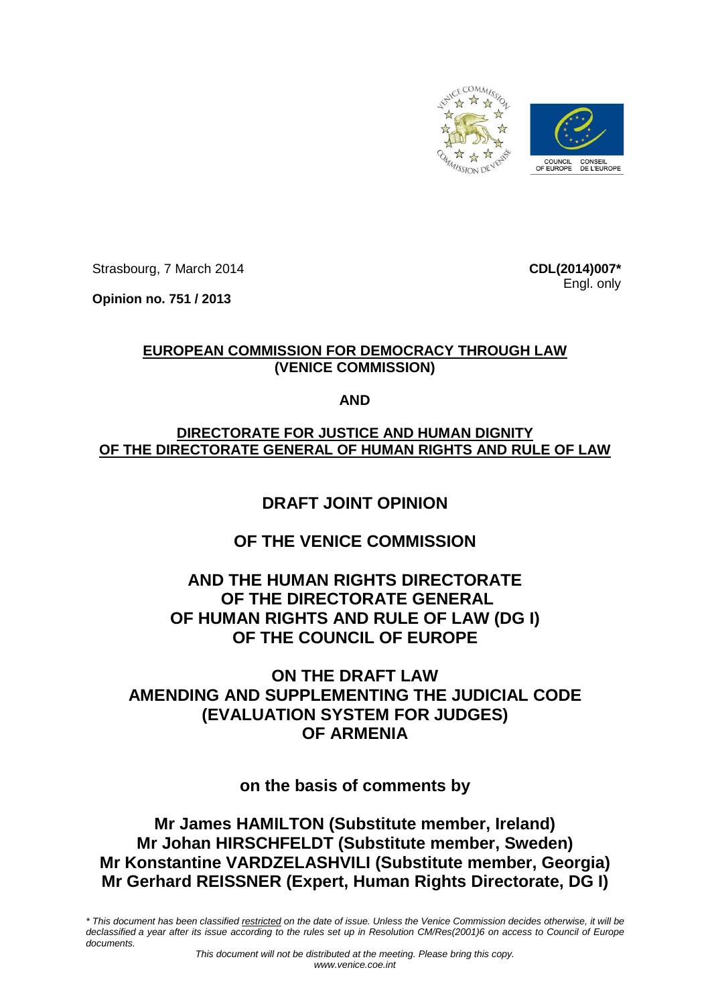

Strasbourg, 7 March 2014

**Opinion no. 751 / 2013**

**CDL(2014)007\*** Engl. only

### **EUROPEAN COMMISSION FOR DEMOCRACY THROUGH LAW (VENICE COMMISSION)**

**AND**

## **DIRECTORATE FOR JUSTICE AND HUMAN DIGNITY OF THE DIRECTORATE GENERAL OF HUMAN RIGHTS AND RULE OF LAW**

# **DRAFT JOINT OPINION**

# **OF THE VENICE COMMISSION**

# **AND THE HUMAN RIGHTS DIRECTORATE OF THE DIRECTORATE GENERAL OF HUMAN RIGHTS AND RULE OF LAW (DG I) OF THE COUNCIL OF EUROPE**

# **ON THE DRAFT LAW AMENDING AND SUPPLEMENTING THE JUDICIAL CODE (EVALUATION SYSTEM FOR JUDGES) OF ARMENIA**

# **on the basis of comments by**

# **Mr James HAMILTON (Substitute member, Ireland) Mr Johan HIRSCHFELDT (Substitute member, Sweden) Mr Konstantine VARDZELASHVILI (Substitute member, Georgia) Mr Gerhard REISSNER (Expert, Human Rights Directorate, DG I)**

\* This document has been classified restricted on the date of issue. Unless the Venice Commission decides otherwise, it will be declassified a year after its issue according to the rules set up in Resolution CM/Res(2001)6 on access to Council of Europe *documents.*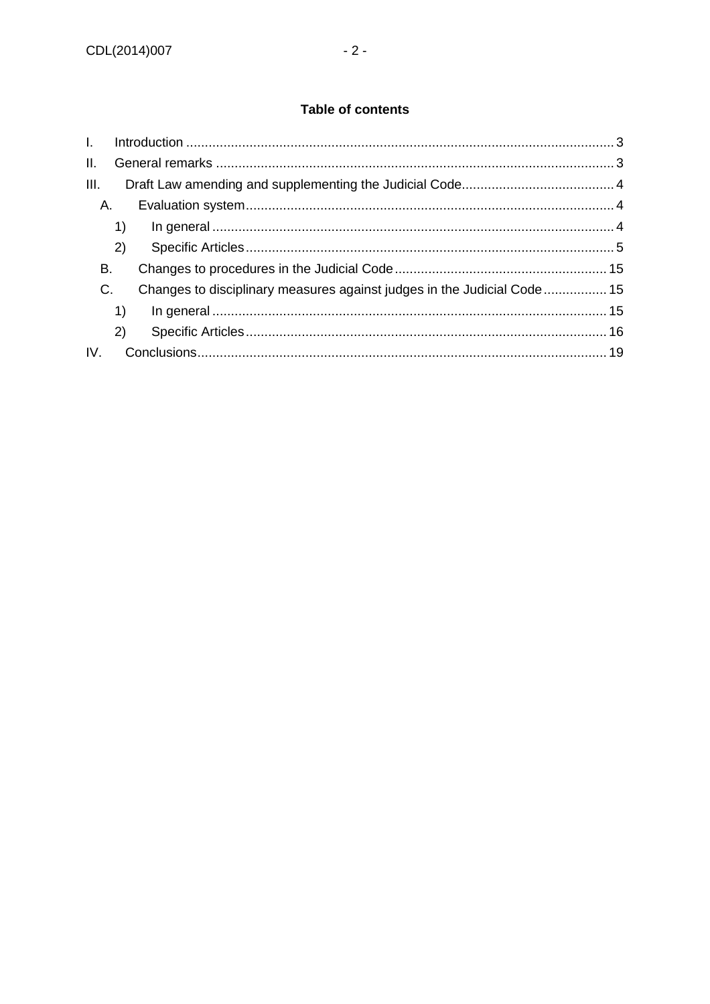### **Table of contents**

| $\mathbf{L}$ |    |                                                                         |  |
|--------------|----|-------------------------------------------------------------------------|--|
| II.          |    |                                                                         |  |
| III.         |    |                                                                         |  |
| А.           |    |                                                                         |  |
|              | 1) |                                                                         |  |
|              | 2) |                                                                         |  |
| В.           |    |                                                                         |  |
| C.           |    | Changes to disciplinary measures against judges in the Judicial Code 15 |  |
|              | 1) |                                                                         |  |
|              | 2) |                                                                         |  |
| IV.          |    |                                                                         |  |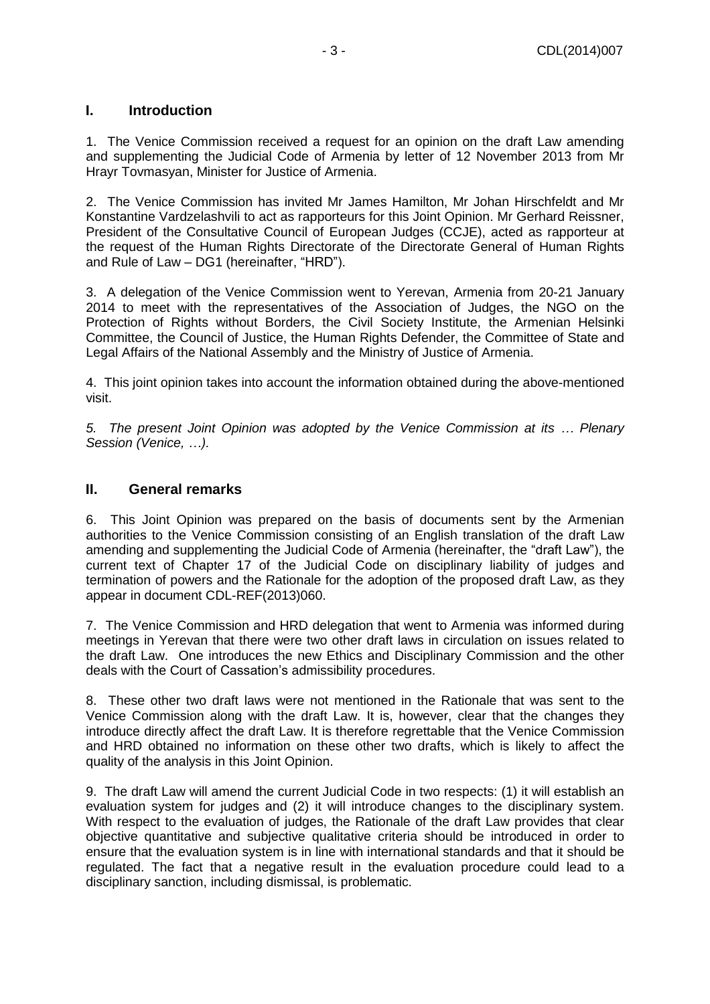### <span id="page-2-0"></span>**I. Introduction**

1. The Venice Commission received a request for an opinion on the draft Law amending and supplementing the Judicial Code of Armenia by letter of 12 November 2013 from Mr Hrayr Tovmasyan, Minister for Justice of Armenia.

2. The Venice Commission has invited Mr James Hamilton, Mr Johan Hirschfeldt and Mr Konstantine Vardzelashvili to act as rapporteurs for this Joint Opinion. Mr Gerhard Reissner, President of the Consultative Council of European Judges (CCJE), acted as rapporteur at the request of the Human Rights Directorate of the Directorate General of Human Rights and Rule of Law – DG1 (hereinafter, "HRD").

3. A delegation of the Venice Commission went to Yerevan, Armenia from 20-21 January 2014 to meet with the representatives of the Association of Judges, the NGO on the Protection of Rights without Borders, the Civil Society Institute, the Armenian Helsinki Committee, the Council of Justice, the Human Rights Defender, the Committee of State and Legal Affairs of the National Assembly and the Ministry of Justice of Armenia.

4. This joint opinion takes into account the information obtained during the above-mentioned visit.

*5. The present Joint Opinion was adopted by the Venice Commission at its … Plenary Session (Venice, …).*

#### <span id="page-2-1"></span>**II. General remarks**

6. This Joint Opinion was prepared on the basis of documents sent by the Armenian authorities to the Venice Commission consisting of an English translation of the draft Law amending and supplementing the Judicial Code of Armenia (hereinafter, the "draft Law"), the current text of Chapter 17 of the Judicial Code on disciplinary liability of judges and termination of powers and the Rationale for the adoption of the proposed draft Law, as they appear in document CDL-REF(2013)060.

7. The Venice Commission and HRD delegation that went to Armenia was informed during meetings in Yerevan that there were two other draft laws in circulation on issues related to the draft Law. One introduces the new Ethics and Disciplinary Commission and the other deals with the Court of Cassation's admissibility procedures.

8. These other two draft laws were not mentioned in the Rationale that was sent to the Venice Commission along with the draft Law. It is, however, clear that the changes they introduce directly affect the draft Law. It is therefore regrettable that the Venice Commission and HRD obtained no information on these other two drafts, which is likely to affect the quality of the analysis in this Joint Opinion.

9. The draft Law will amend the current Judicial Code in two respects: (1) it will establish an evaluation system for judges and (2) it will introduce changes to the disciplinary system. With respect to the evaluation of judges, the Rationale of the draft Law provides that clear objective quantitative and subjective qualitative criteria should be introduced in order to ensure that the evaluation system is in line with international standards and that it should be regulated. The fact that a negative result in the evaluation procedure could lead to a disciplinary sanction, including dismissal, is problematic.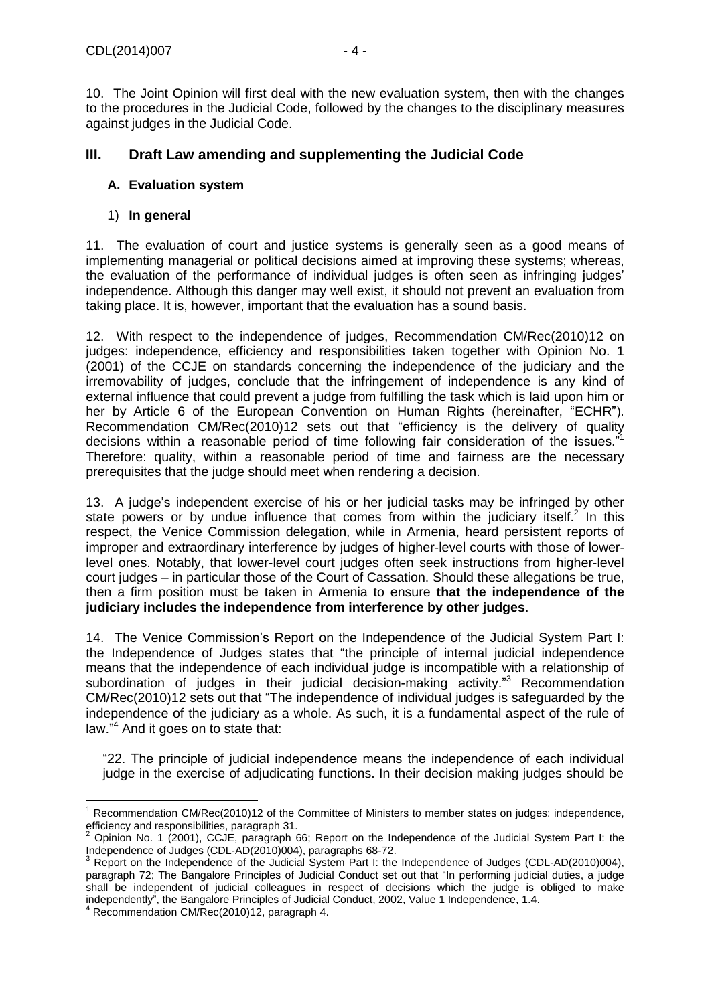10. The Joint Opinion will first deal with the new evaluation system, then with the changes to the procedures in the Judicial Code, followed by the changes to the disciplinary measures against judges in the Judicial Code.

### <span id="page-3-0"></span>**III. Draft Law amending and supplementing the Judicial Code**

#### <span id="page-3-1"></span>**A. Evaluation system**

#### <span id="page-3-2"></span>1) **In general**

11. The evaluation of court and justice systems is generally seen as a good means of implementing managerial or political decisions aimed at improving these systems; whereas, the evaluation of the performance of individual judges is often seen as infringing judges' independence. Although this danger may well exist, it should not prevent an evaluation from taking place. It is, however, important that the evaluation has a sound basis.

12. With respect to the independence of judges, Recommendation CM/Rec(2010)12 on judges: independence, efficiency and responsibilities taken together with Opinion No. 1 (2001) of the CCJE on standards concerning the independence of the judiciary and the irremovability of judges, conclude that the infringement of independence is any kind of external influence that could prevent a judge from fulfilling the task which is laid upon him or her by Article 6 of the European Convention on Human Rights (hereinafter, "ECHR"). Recommendation CM/Rec(2010)12 sets out that "efficiency is the delivery of quality decisions within a reasonable period of time following fair consideration of the issues."<sup>1</sup> Therefore: quality, within a reasonable period of time and fairness are the necessary prerequisites that the judge should meet when rendering a decision.

13. A judge's independent exercise of his or her judicial tasks may be infringed by other state powers or by undue influence that comes from within the judiciary itself.<sup>2</sup> In this respect, the Venice Commission delegation, while in Armenia, heard persistent reports of improper and extraordinary interference by judges of higher-level courts with those of lowerlevel ones. Notably, that lower-level court judges often seek instructions from higher-level court judges – in particular those of the Court of Cassation. Should these allegations be true, then a firm position must be taken in Armenia to ensure **that the independence of the judiciary includes the independence from interference by other judges**.

14. The Venice Commission's Report on the Independence of the Judicial System Part I: the Independence of Judges states that "the principle of internal judicial independence means that the independence of each individual judge is incompatible with a relationship of subordination of judges in their judicial decision-making activity."<sup>3</sup> Recommendation CM/Rec(2010)12 sets out that "The independence of individual judges is safeguarded by the independence of the judiciary as a whole. As such, it is a fundamental aspect of the rule of law."<sup>4</sup> And it goes on to state that:

"22. The principle of judicial independence means the independence of each individual judge in the exercise of adjudicating functions. In their decision making judges should be

 $\overline{a}$ <sup>1</sup> Recommendation CM/Rec(2010)12 of the Committee of Ministers to member states on judges: independence, efficiency and responsibilities, paragraph 31.

<sup>2</sup> Opinion No. 1 (2001), CCJE, paragraph 66; Report on the Independence of the Judicial System Part I: the Independence of Judges (CDL-AD(2010)004), paragraphs 68-72.

<sup>3</sup> Report on the Independence of the Judicial System Part I: the Independence of Judges (CDL-AD(2010)004), paragraph 72; The Bangalore Principles of Judicial Conduct set out that "In performing judicial duties, a judge shall be independent of judicial colleagues in respect of decisions which the judge is obliged to make independently", the Bangalore Principles of Judicial Conduct, 2002, Value 1 Independence, 1.4.

 $4$  Recommendation CM/Rec(2010)12, paragraph 4.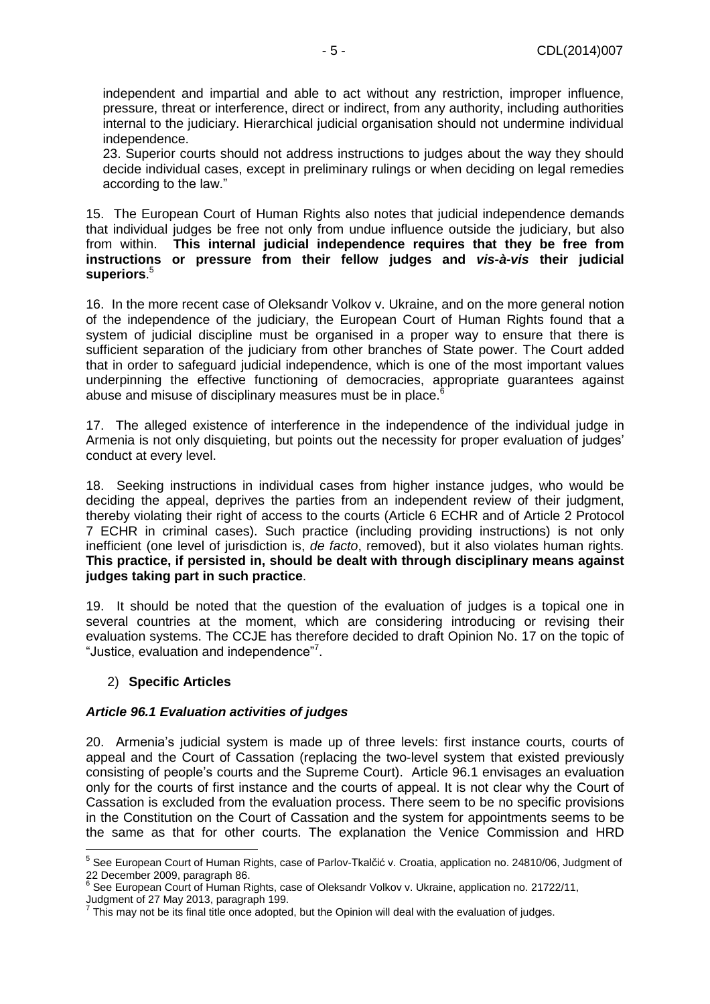independent and impartial and able to act without any restriction, improper influence, pressure, threat or interference, direct or indirect, from any authority, including authorities internal to the judiciary. Hierarchical judicial organisation should not undermine individual independence.

23. Superior courts should not address instructions to judges about the way they should decide individual cases, except in preliminary rulings or when deciding on legal remedies according to the law."

15. The European Court of Human Rights also notes that judicial independence demands that individual judges be free not only from undue influence outside the judiciary, but also from within. **This internal judicial independence requires that they be free from instructions or pressure from their fellow judges and** *vis-à-vis* **their judicial superiors**. 5

16. In the more recent case of Oleksandr Volkov v. Ukraine, and on the more general notion of the independence of the judiciary, the European Court of Human Rights found that a system of judicial discipline must be organised in a proper way to ensure that there is sufficient separation of the judiciary from other branches of State power. The Court added that in order to safeguard judicial independence, which is one of the most important values underpinning the effective functioning of democracies, appropriate guarantees against abuse and misuse of disciplinary measures must be in place.<sup>6</sup>

17. The alleged existence of interference in the independence of the individual judge in Armenia is not only disquieting, but points out the necessity for proper evaluation of judges' conduct at every level.

18. Seeking instructions in individual cases from higher instance judges, who would be deciding the appeal, deprives the parties from an independent review of their judgment, thereby violating their right of access to the courts (Article 6 ECHR and of Article 2 Protocol 7 ECHR in criminal cases). Such practice (including providing instructions) is not only inefficient (one level of jurisdiction is, *de facto*, removed), but it also violates human rights. **This practice, if persisted in, should be dealt with through disciplinary means against judges taking part in such practice**.

19. It should be noted that the question of the evaluation of judges is a topical one in several countries at the moment, which are considering introducing or revising their evaluation systems. The CCJE has therefore decided to draft Opinion No. 17 on the topic of "Justice, evaluation and independence"<sup>7</sup>.

#### <span id="page-4-0"></span>2) **Specific Articles**

#### *Article 96.1 Evaluation activities of judges*

20. Armenia's judicial system is made up of three levels: first instance courts, courts of appeal and the Court of Cassation (replacing the two-level system that existed previously consisting of people's courts and the Supreme Court). Article 96.1 envisages an evaluation only for the courts of first instance and the courts of appeal. It is not clear why the Court of Cassation is excluded from the evaluation process. There seem to be no specific provisions in the Constitution on the Court of Cassation and the system for appointments seems to be the same as that for other courts. The explanation the Venice Commission and HRD

 5 See European Court of Human Rights, case of Parlov-Tkalčić v. Croatia, application no. 24810/06, Judgment of 22 December 2009, paragraph 86.

<sup>&</sup>lt;sup>6</sup> See European Court of Human Rights, case of Oleksandr Volkov v. Ukraine, application no. 21722/11,

Judgment of 27 May 2013, paragraph 199. 7

This may not be its final title once adopted, but the Opinion will deal with the evaluation of judges.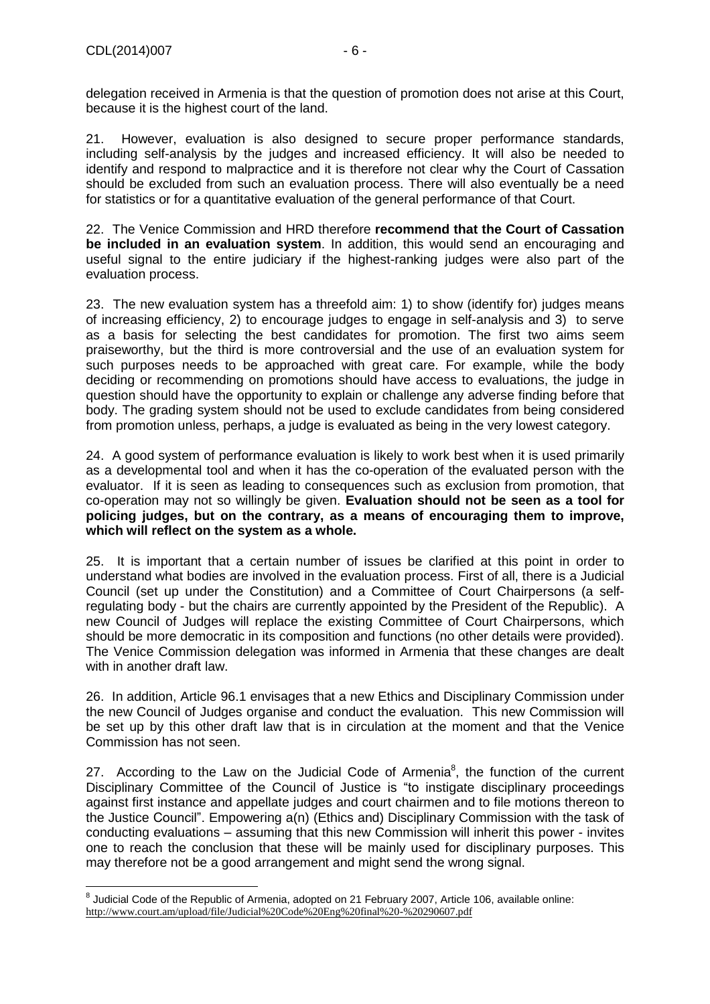delegation received in Armenia is that the question of promotion does not arise at this Court, because it is the highest court of the land.

21. However, evaluation is also designed to secure proper performance standards, including self-analysis by the judges and increased efficiency. It will also be needed to identify and respond to malpractice and it is therefore not clear why the Court of Cassation should be excluded from such an evaluation process. There will also eventually be a need for statistics or for a quantitative evaluation of the general performance of that Court.

22. The Venice Commission and HRD therefore **recommend that the Court of Cassation be included in an evaluation system**. In addition, this would send an encouraging and useful signal to the entire judiciary if the highest-ranking judges were also part of the evaluation process.

23. The new evaluation system has a threefold aim: 1) to show (identify for) judges means of increasing efficiency, 2) to encourage judges to engage in self-analysis and 3) to serve as a basis for selecting the best candidates for promotion. The first two aims seem praiseworthy, but the third is more controversial and the use of an evaluation system for such purposes needs to be approached with great care. For example, while the body deciding or recommending on promotions should have access to evaluations, the judge in question should have the opportunity to explain or challenge any adverse finding before that body. The grading system should not be used to exclude candidates from being considered from promotion unless, perhaps, a judge is evaluated as being in the very lowest category.

24. A good system of performance evaluation is likely to work best when it is used primarily as a developmental tool and when it has the co-operation of the evaluated person with the evaluator. If it is seen as leading to consequences such as exclusion from promotion, that co-operation may not so willingly be given. **Evaluation should not be seen as a tool for policing judges, but on the contrary, as a means of encouraging them to improve, which will reflect on the system as a whole.**

25. It is important that a certain number of issues be clarified at this point in order to understand what bodies are involved in the evaluation process. First of all, there is a Judicial Council (set up under the Constitution) and a Committee of Court Chairpersons (a selfregulating body - but the chairs are currently appointed by the President of the Republic). A new Council of Judges will replace the existing Committee of Court Chairpersons, which should be more democratic in its composition and functions (no other details were provided). The Venice Commission delegation was informed in Armenia that these changes are dealt with in another draft law.

26. In addition, Article 96.1 envisages that a new Ethics and Disciplinary Commission under the new Council of Judges organise and conduct the evaluation. This new Commission will be set up by this other draft law that is in circulation at the moment and that the Venice Commission has not seen.

27. According to the Law on the Judicial Code of Armenia $^8$ , the function of the current Disciplinary Committee of the Council of Justice is "to instigate disciplinary proceedings against first instance and appellate judges and court chairmen and to file motions thereon to the Justice Council". Empowering a(n) (Ethics and) Disciplinary Commission with the task of conducting evaluations – assuming that this new Commission will inherit this power - invites one to reach the conclusion that these will be mainly used for disciplinary purposes. This may therefore not be a good arrangement and might send the wrong signal.

 8 Judicial Code of the Republic of Armenia, adopted on 21 February 2007, Article 106, available online: <http://www.court.am/upload/file/Judicial%20Code%20Eng%20final%20-%20290607.pdf>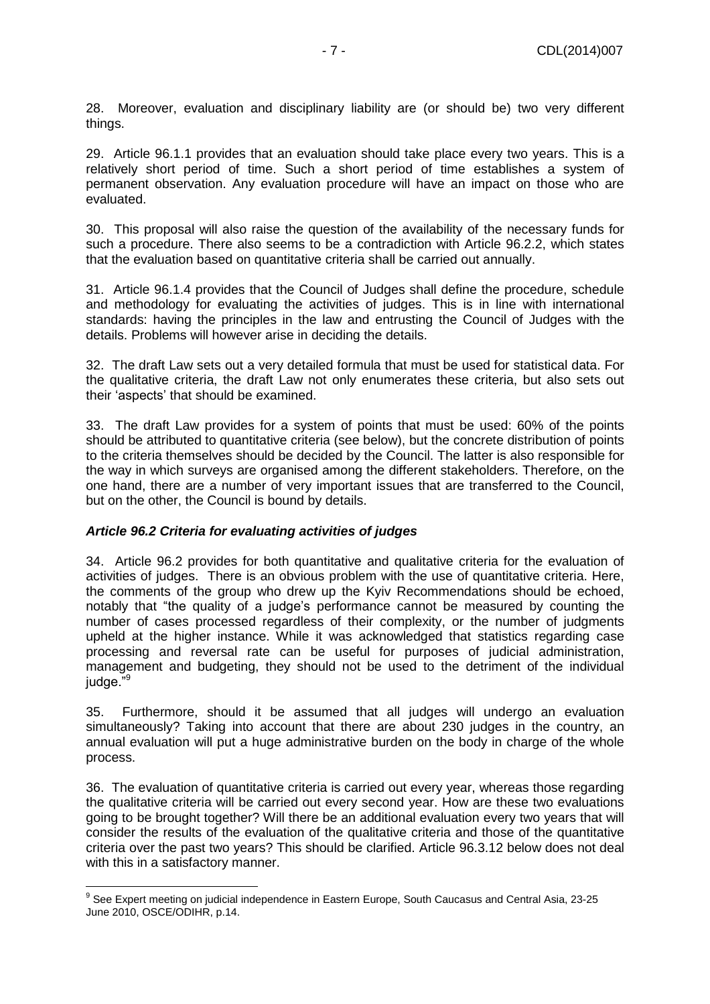28. Moreover, evaluation and disciplinary liability are (or should be) two very different things.

29. Article 96.1.1 provides that an evaluation should take place every two years. This is a relatively short period of time. Such a short period of time establishes a system of permanent observation. Any evaluation procedure will have an impact on those who are evaluated.

30. This proposal will also raise the question of the availability of the necessary funds for such a procedure. There also seems to be a contradiction with Article 96.2.2, which states that the evaluation based on quantitative criteria shall be carried out annually.

31. Article 96.1.4 provides that the Council of Judges shall define the procedure, schedule and methodology for evaluating the activities of judges. This is in line with international standards: having the principles in the law and entrusting the Council of Judges with the details. Problems will however arise in deciding the details.

32. The draft Law sets out a very detailed formula that must be used for statistical data. For the qualitative criteria, the draft Law not only enumerates these criteria, but also sets out their 'aspects' that should be examined.

33. The draft Law provides for a system of points that must be used: 60% of the points should be attributed to quantitative criteria (see below), but the concrete distribution of points to the criteria themselves should be decided by the Council. The latter is also responsible for the way in which surveys are organised among the different stakeholders. Therefore, on the one hand, there are a number of very important issues that are transferred to the Council, but on the other, the Council is bound by details.

#### *Article 96.2 Criteria for evaluating activities of judges*

34. Article 96.2 provides for both quantitative and qualitative criteria for the evaluation of activities of judges. There is an obvious problem with the use of quantitative criteria. Here, the comments of the group who drew up the Kyiv Recommendations should be echoed, notably that "the quality of a judge's performance cannot be measured by counting the number of cases processed regardless of their complexity, or the number of judgments upheld at the higher instance. While it was acknowledged that statistics regarding case processing and reversal rate can be useful for purposes of judicial administration, management and budgeting, they should not be used to the detriment of the individual judge."<sup>9</sup>

35. Furthermore, should it be assumed that all judges will undergo an evaluation simultaneously? Taking into account that there are about 230 judges in the country, an annual evaluation will put a huge administrative burden on the body in charge of the whole process.

36. The evaluation of quantitative criteria is carried out every year, whereas those regarding the qualitative criteria will be carried out every second year. How are these two evaluations going to be brought together? Will there be an additional evaluation every two years that will consider the results of the evaluation of the qualitative criteria and those of the quantitative criteria over the past two years? This should be clarified. Article 96.3.12 below does not deal with this in a satisfactory manner.

 9 See Expert meeting on judicial independence in Eastern Europe, South Caucasus and Central Asia, 23-25 June 2010, OSCE/ODIHR, p.14.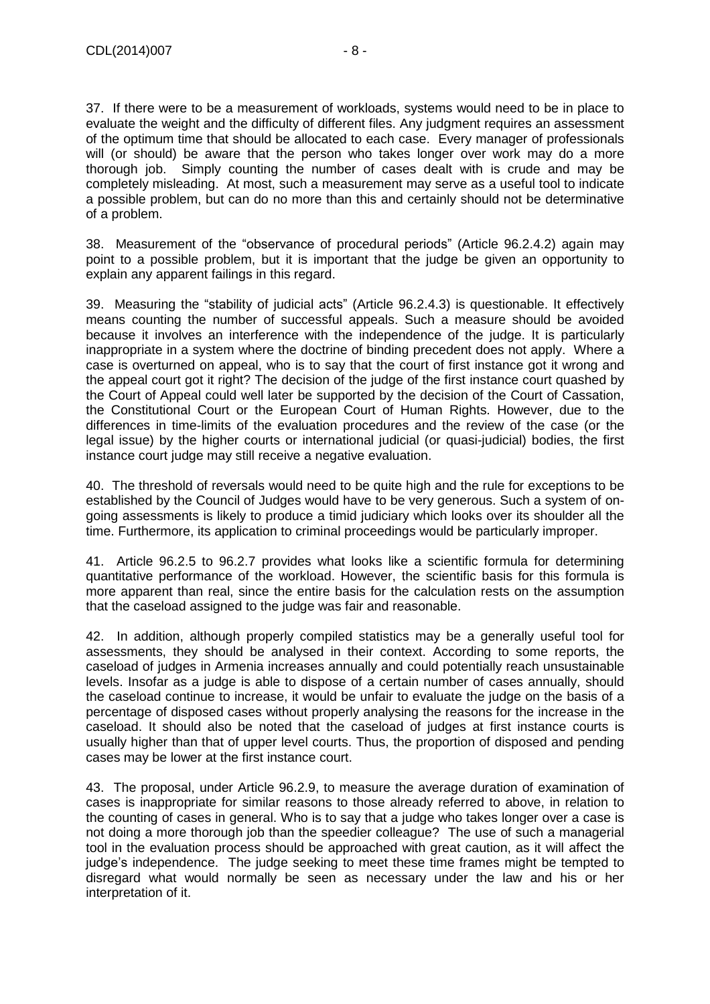37. If there were to be a measurement of workloads, systems would need to be in place to evaluate the weight and the difficulty of different files. Any judgment requires an assessment of the optimum time that should be allocated to each case. Every manager of professionals will (or should) be aware that the person who takes longer over work may do a more thorough job. Simply counting the number of cases dealt with is crude and may be completely misleading. At most, such a measurement may serve as a useful tool to indicate a possible problem, but can do no more than this and certainly should not be determinative of a problem.

38. Measurement of the "observance of procedural periods" (Article 96.2.4.2) again may point to a possible problem, but it is important that the judge be given an opportunity to explain any apparent failings in this regard.

39. Measuring the "stability of judicial acts" (Article 96.2.4.3) is questionable. It effectively means counting the number of successful appeals. Such a measure should be avoided because it involves an interference with the independence of the judge. It is particularly inappropriate in a system where the doctrine of binding precedent does not apply. Where a case is overturned on appeal, who is to say that the court of first instance got it wrong and the appeal court got it right? The decision of the judge of the first instance court quashed by the Court of Appeal could well later be supported by the decision of the Court of Cassation, the Constitutional Court or the European Court of Human Rights. However, due to the differences in time-limits of the evaluation procedures and the review of the case (or the legal issue) by the higher courts or international judicial (or quasi-judicial) bodies, the first instance court judge may still receive a negative evaluation.

40. The threshold of reversals would need to be quite high and the rule for exceptions to be established by the Council of Judges would have to be very generous. Such a system of ongoing assessments is likely to produce a timid judiciary which looks over its shoulder all the time. Furthermore, its application to criminal proceedings would be particularly improper.

41. Article 96.2.5 to 96.2.7 provides what looks like a scientific formula for determining quantitative performance of the workload. However, the scientific basis for this formula is more apparent than real, since the entire basis for the calculation rests on the assumption that the caseload assigned to the judge was fair and reasonable.

42. In addition, although properly compiled statistics may be a generally useful tool for assessments, they should be analysed in their context. According to some reports, the caseload of judges in Armenia increases annually and could potentially reach unsustainable levels. Insofar as a judge is able to dispose of a certain number of cases annually, should the caseload continue to increase, it would be unfair to evaluate the judge on the basis of a percentage of disposed cases without properly analysing the reasons for the increase in the caseload. It should also be noted that the caseload of judges at first instance courts is usually higher than that of upper level courts. Thus, the proportion of disposed and pending cases may be lower at the first instance court.

43. The proposal, under Article 96.2.9, to measure the average duration of examination of cases is inappropriate for similar reasons to those already referred to above, in relation to the counting of cases in general. Who is to say that a judge who takes longer over a case is not doing a more thorough job than the speedier colleague? The use of such a managerial tool in the evaluation process should be approached with great caution, as it will affect the judge's independence. The judge seeking to meet these time frames might be tempted to disregard what would normally be seen as necessary under the law and his or her interpretation of it.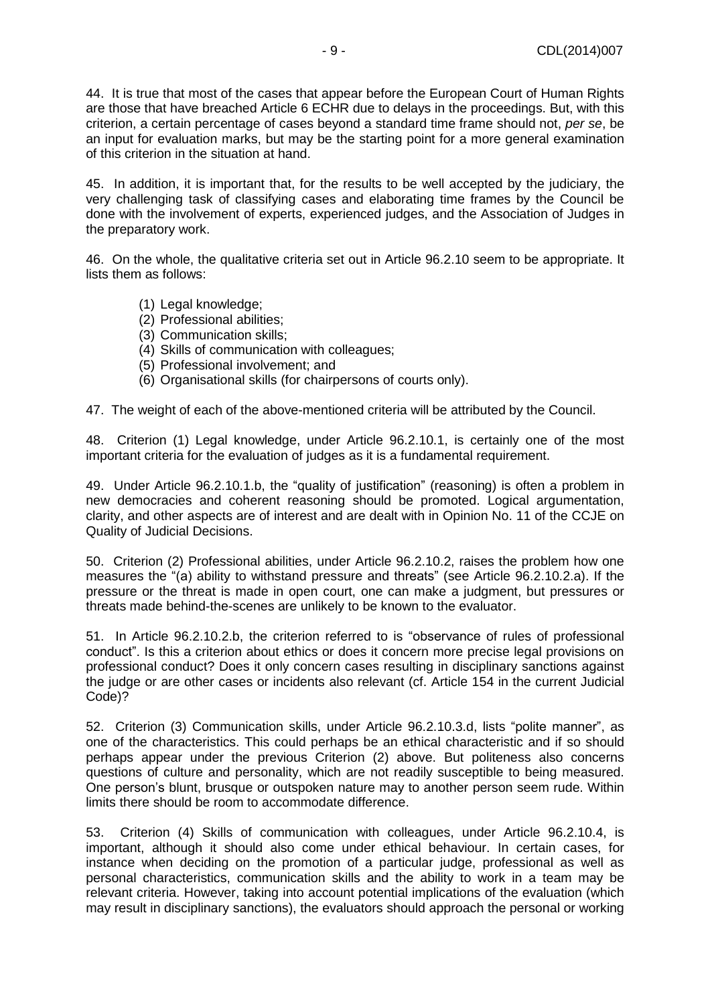44. It is true that most of the cases that appear before the European Court of Human Rights are those that have breached Article 6 ECHR due to delays in the proceedings. But, with this criterion, a certain percentage of cases beyond a standard time frame should not, *per se*, be an input for evaluation marks, but may be the starting point for a more general examination of this criterion in the situation at hand.

45. In addition, it is important that, for the results to be well accepted by the judiciary, the very challenging task of classifying cases and elaborating time frames by the Council be done with the involvement of experts, experienced judges, and the Association of Judges in the preparatory work.

46. On the whole, the qualitative criteria set out in Article 96.2.10 seem to be appropriate. It lists them as follows:

- (1) Legal knowledge;
- (2) Professional abilities;
- (3) Communication skills;
- (4) Skills of communication with colleagues;
- (5) Professional involvement; and
- (6) Organisational skills (for chairpersons of courts only).

47. The weight of each of the above-mentioned criteria will be attributed by the Council.

48. Criterion (1) Legal knowledge, under Article 96.2.10.1, is certainly one of the most important criteria for the evaluation of judges as it is a fundamental requirement.

49. Under Article 96.2.10.1.b, the "quality of justification" (reasoning) is often a problem in new democracies and coherent reasoning should be promoted. Logical argumentation, clarity, and other aspects are of interest and are dealt with in Opinion No. 11 of the CCJE on Quality of Judicial Decisions.

50. Criterion (2) Professional abilities, under Article 96.2.10.2, raises the problem how one measures the "(a) ability to withstand pressure and threats" (see Article 96.2.10.2.a). If the pressure or the threat is made in open court, one can make a judgment, but pressures or threats made behind-the-scenes are unlikely to be known to the evaluator.

51. In Article 96.2.10.2.b, the criterion referred to is "observance of rules of professional conduct". Is this a criterion about ethics or does it concern more precise legal provisions on professional conduct? Does it only concern cases resulting in disciplinary sanctions against the judge or are other cases or incidents also relevant (cf. Article 154 in the current Judicial Code)?

52. Criterion (3) Communication skills, under Article 96.2.10.3.d, lists "polite manner", as one of the characteristics. This could perhaps be an ethical characteristic and if so should perhaps appear under the previous Criterion (2) above. But politeness also concerns questions of culture and personality, which are not readily susceptible to being measured. One person's blunt, brusque or outspoken nature may to another person seem rude. Within limits there should be room to accommodate difference.

53. Criterion (4) Skills of communication with colleagues, under Article 96.2.10.4, is important, although it should also come under ethical behaviour. In certain cases, for instance when deciding on the promotion of a particular judge, professional as well as personal characteristics, communication skills and the ability to work in a team may be relevant criteria. However, taking into account potential implications of the evaluation (which may result in disciplinary sanctions), the evaluators should approach the personal or working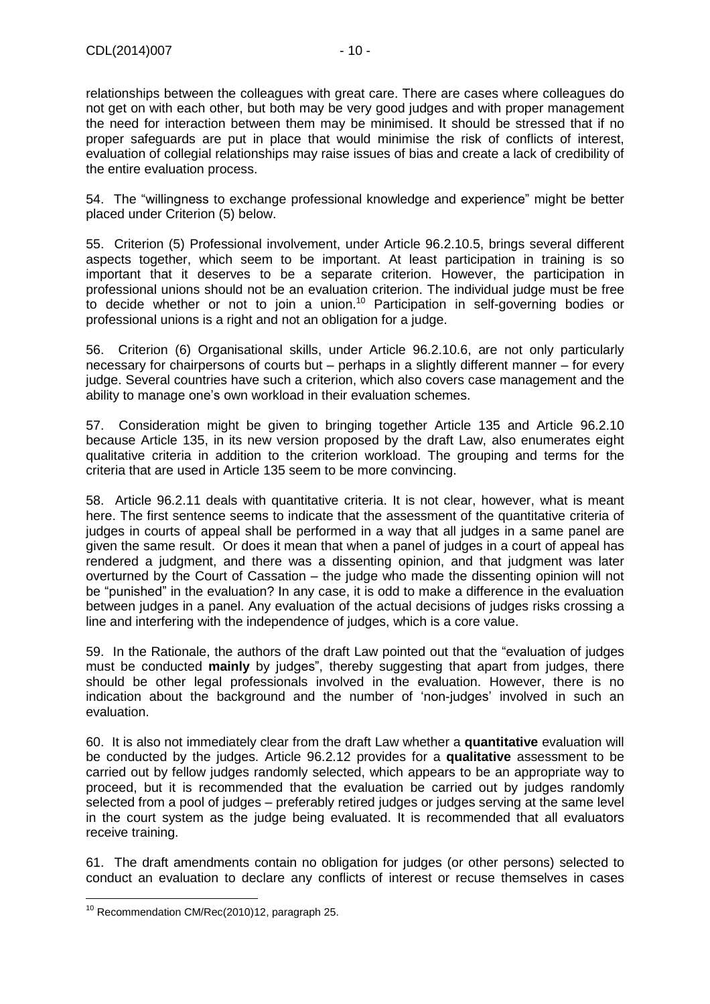relationships between the colleagues with great care. There are cases where colleagues do not get on with each other, but both may be very good judges and with proper management the need for interaction between them may be minimised. It should be stressed that if no proper safeguards are put in place that would minimise the risk of conflicts of interest, evaluation of collegial relationships may raise issues of bias and create a lack of credibility of the entire evaluation process.

54. The "willingness to exchange professional knowledge and experience" might be better placed under Criterion (5) below.

55. Criterion (5) Professional involvement, under Article 96.2.10.5, brings several different aspects together, which seem to be important. At least participation in training is so important that it deserves to be a separate criterion. However, the participation in professional unions should not be an evaluation criterion. The individual judge must be free to decide whether or not to join a union.<sup>10</sup> Participation in self-governing bodies or professional unions is a right and not an obligation for a judge.

56. Criterion (6) Organisational skills, under Article 96.2.10.6, are not only particularly necessary for chairpersons of courts but – perhaps in a slightly different manner – for every judge. Several countries have such a criterion, which also covers case management and the ability to manage one's own workload in their evaluation schemes.

57. Consideration might be given to bringing together Article 135 and Article 96.2.10 because Article 135, in its new version proposed by the draft Law, also enumerates eight qualitative criteria in addition to the criterion workload. The grouping and terms for the criteria that are used in Article 135 seem to be more convincing.

58. Article 96.2.11 deals with quantitative criteria. It is not clear, however, what is meant here. The first sentence seems to indicate that the assessment of the quantitative criteria of judges in courts of appeal shall be performed in a way that all judges in a same panel are given the same result. Or does it mean that when a panel of judges in a court of appeal has rendered a judgment, and there was a dissenting opinion, and that judgment was later overturned by the Court of Cassation – the judge who made the dissenting opinion will not be "punished" in the evaluation? In any case, it is odd to make a difference in the evaluation between judges in a panel. Any evaluation of the actual decisions of judges risks crossing a line and interfering with the independence of judges, which is a core value.

59. In the Rationale, the authors of the draft Law pointed out that the "evaluation of judges must be conducted **mainly** by judges", thereby suggesting that apart from judges, there should be other legal professionals involved in the evaluation. However, there is no indication about the background and the number of 'non-judges' involved in such an evaluation.

60. It is also not immediately clear from the draft Law whether a **quantitative** evaluation will be conducted by the judges. Article 96.2.12 provides for a **qualitative** assessment to be carried out by fellow judges randomly selected, which appears to be an appropriate way to proceed, but it is recommended that the evaluation be carried out by judges randomly selected from a pool of judges – preferably retired judges or judges serving at the same level in the court system as the judge being evaluated. It is recommended that all evaluators receive training.

61. The draft amendments contain no obligation for judges (or other persons) selected to conduct an evaluation to declare any conflicts of interest or recuse themselves in cases

 $\overline{a}$  $10$  Recommendation CM/Rec(2010)12, paragraph 25.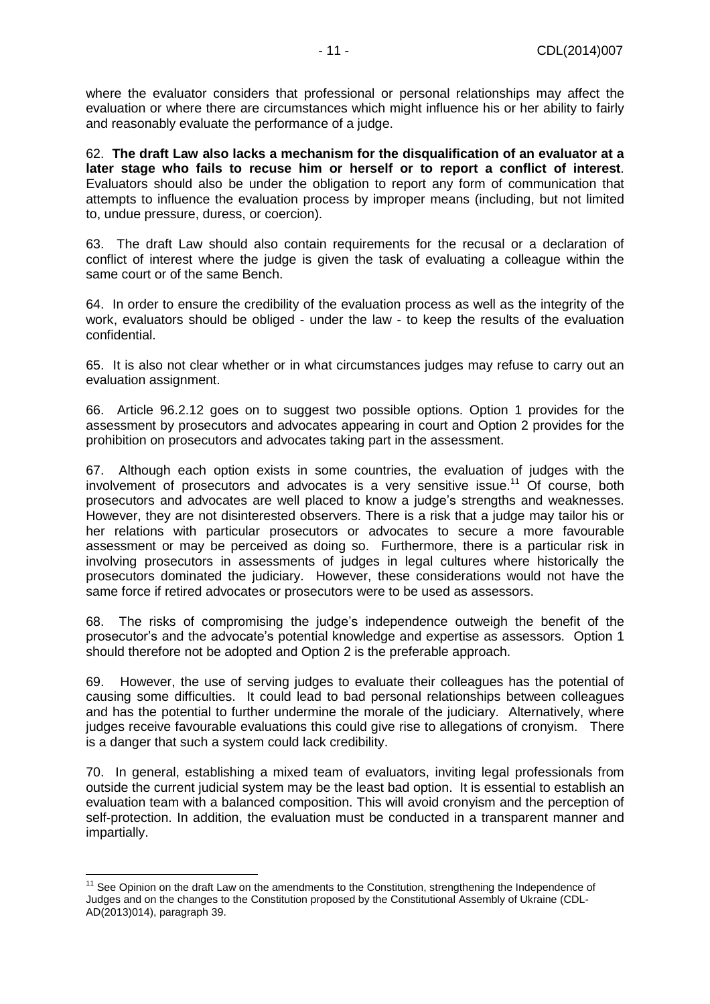where the evaluator considers that professional or personal relationships may affect the evaluation or where there are circumstances which might influence his or her ability to fairly and reasonably evaluate the performance of a judge.

62. **The draft Law also lacks a mechanism for the disqualification of an evaluator at a later stage who fails to recuse him or herself or to report a conflict of interest**. Evaluators should also be under the obligation to report any form of communication that attempts to influence the evaluation process by improper means (including, but not limited to, undue pressure, duress, or coercion).

63. The draft Law should also contain requirements for the recusal or a declaration of conflict of interest where the judge is given the task of evaluating a colleague within the same court or of the same Bench.

64. In order to ensure the credibility of the evaluation process as well as the integrity of the work, evaluators should be obliged - under the law - to keep the results of the evaluation confidential.

65. It is also not clear whether or in what circumstances judges may refuse to carry out an evaluation assignment.

66. Article 96.2.12 goes on to suggest two possible options. Option 1 provides for the assessment by prosecutors and advocates appearing in court and Option 2 provides for the prohibition on prosecutors and advocates taking part in the assessment.

67. Although each option exists in some countries, the evaluation of judges with the involvement of prosecutors and advocates is a very sensitive issue.<sup>11</sup> Of course, both prosecutors and advocates are well placed to know a judge's strengths and weaknesses. However, they are not disinterested observers. There is a risk that a judge may tailor his or her relations with particular prosecutors or advocates to secure a more favourable assessment or may be perceived as doing so. Furthermore, there is a particular risk in involving prosecutors in assessments of judges in legal cultures where historically the prosecutors dominated the judiciary. However, these considerations would not have the same force if retired advocates or prosecutors were to be used as assessors.

68. The risks of compromising the judge's independence outweigh the benefit of the prosecutor's and the advocate's potential knowledge and expertise as assessors. Option 1 should therefore not be adopted and Option 2 is the preferable approach.

69. However, the use of serving judges to evaluate their colleagues has the potential of causing some difficulties. It could lead to bad personal relationships between colleagues and has the potential to further undermine the morale of the judiciary. Alternatively, where judges receive favourable evaluations this could give rise to allegations of cronyism. There is a danger that such a system could lack credibility.

70. In general, establishing a mixed team of evaluators, inviting legal professionals from outside the current judicial system may be the least bad option. It is essential to establish an evaluation team with a balanced composition. This will avoid cronyism and the perception of self-protection. In addition, the evaluation must be conducted in a transparent manner and impartially.

 $\overline{a}$ 

<sup>&</sup>lt;sup>11</sup> See Opinion on the draft Law on the amendments to the Constitution, strengthening the Independence of Judges and on the changes to the Constitution proposed by the Constitutional Assembly of Ukraine (CDL-AD(2013)014), paragraph 39.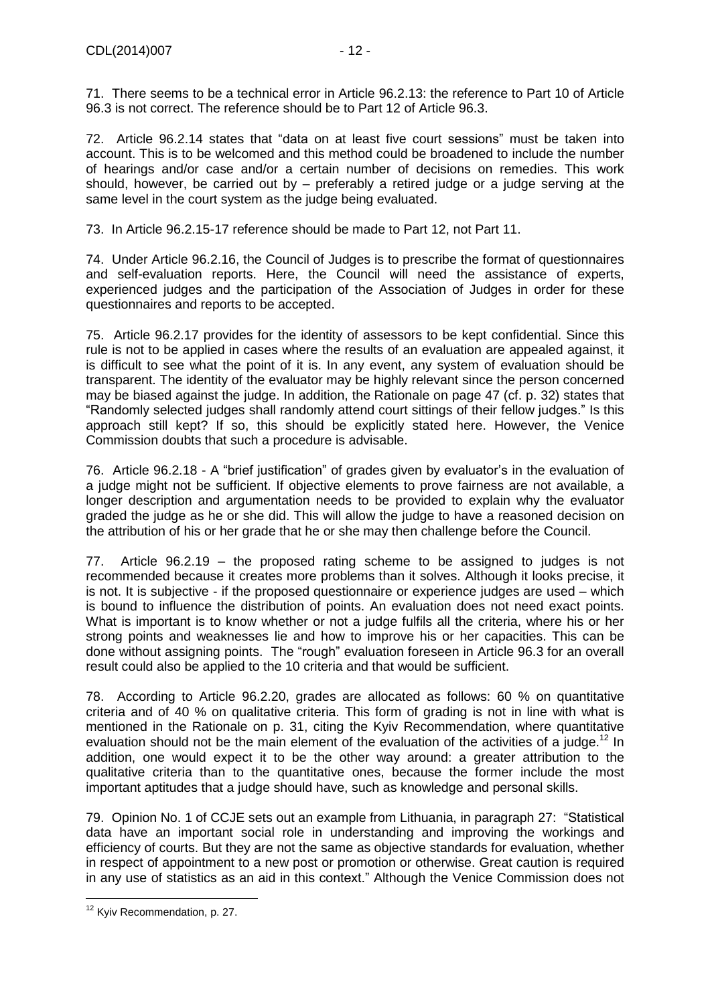72. Article 96.2.14 states that "data on at least five court sessions" must be taken into account. This is to be welcomed and this method could be broadened to include the number of hearings and/or case and/or a certain number of decisions on remedies. This work should, however, be carried out by – preferably a retired judge or a judge serving at the same level in the court system as the judge being evaluated.

73. In Article 96.2.15-17 reference should be made to Part 12, not Part 11.

74. Under Article 96.2.16, the Council of Judges is to prescribe the format of questionnaires and self-evaluation reports. Here, the Council will need the assistance of experts, experienced judges and the participation of the Association of Judges in order for these questionnaires and reports to be accepted.

75. Article 96.2.17 provides for the identity of assessors to be kept confidential. Since this rule is not to be applied in cases where the results of an evaluation are appealed against, it is difficult to see what the point of it is. In any event, any system of evaluation should be transparent. The identity of the evaluator may be highly relevant since the person concerned may be biased against the judge. In addition, the Rationale on page 47 (cf. p. 32) states that "Randomly selected judges shall randomly attend court sittings of their fellow judges." Is this approach still kept? If so, this should be explicitly stated here. However, the Venice Commission doubts that such a procedure is advisable.

76. Article 96.2.18 - A "brief justification" of grades given by evaluator's in the evaluation of a judge might not be sufficient. If objective elements to prove fairness are not available, a longer description and argumentation needs to be provided to explain why the evaluator graded the judge as he or she did. This will allow the judge to have a reasoned decision on the attribution of his or her grade that he or she may then challenge before the Council.

77. Article 96.2.19 – the proposed rating scheme to be assigned to judges is not recommended because it creates more problems than it solves. Although it looks precise, it is not. It is subjective - if the proposed questionnaire or experience judges are used – which is bound to influence the distribution of points. An evaluation does not need exact points. What is important is to know whether or not a judge fulfils all the criteria, where his or her strong points and weaknesses lie and how to improve his or her capacities. This can be done without assigning points. The "rough" evaluation foreseen in Article 96.3 for an overall result could also be applied to the 10 criteria and that would be sufficient.

78. According to Article 96.2.20, grades are allocated as follows: 60 % on quantitative criteria and of 40 % on qualitative criteria. This form of grading is not in line with what is mentioned in the Rationale on p. 31, citing the Kyiv Recommendation, where quantitative evaluation should not be the main element of the evaluation of the activities of a judge.<sup>12</sup> In addition, one would expect it to be the other way around: a greater attribution to the qualitative criteria than to the quantitative ones, because the former include the most important aptitudes that a judge should have, such as knowledge and personal skills.

79. Opinion No. 1 of CCJE sets out an example from Lithuania, in paragraph 27: "Statistical data have an important social role in understanding and improving the workings and efficiency of courts. But they are not the same as objective standards for evaluation, whether in respect of appointment to a new post or promotion or otherwise. Great caution is required in any use of statistics as an aid in this context." Although the Venice Commission does not

 $\overline{a}$ <sup>12</sup> Kyiv Recommendation, p. 27.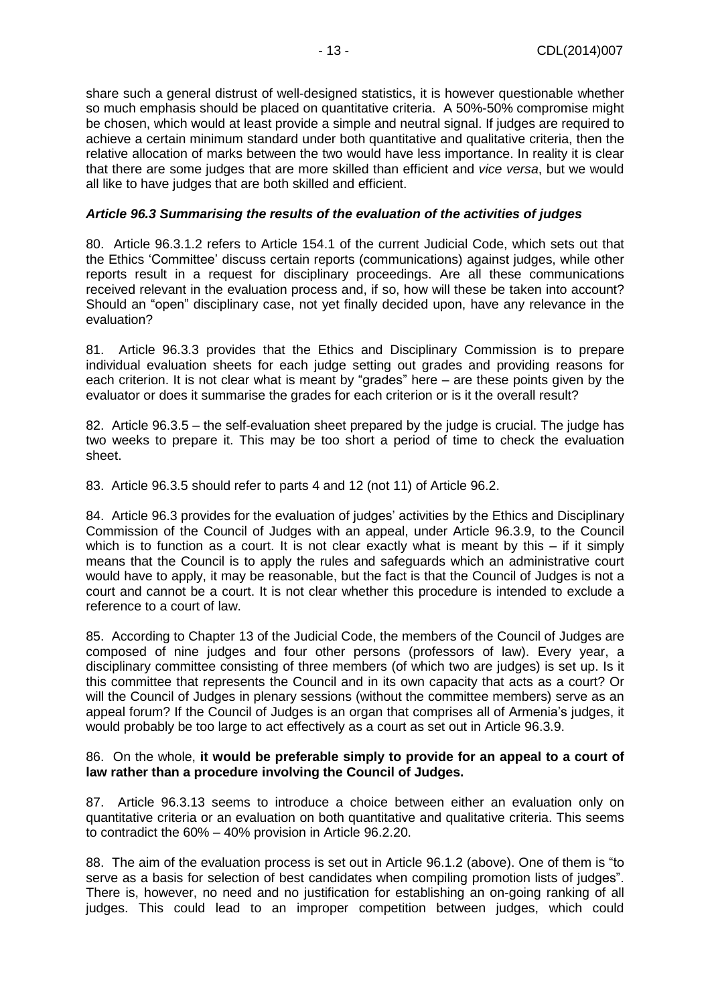share such a general distrust of well-designed statistics, it is however questionable whether so much emphasis should be placed on quantitative criteria. A 50%-50% compromise might be chosen, which would at least provide a simple and neutral signal. If judges are required to achieve a certain minimum standard under both quantitative and qualitative criteria, then the relative allocation of marks between the two would have less importance. In reality it is clear that there are some judges that are more skilled than efficient and *vice versa*, but we would all like to have judges that are both skilled and efficient.

#### *Article 96.3 Summarising the results of the evaluation of the activities of judges*

80. Article 96.3.1.2 refers to Article 154.1 of the current Judicial Code, which sets out that the Ethics 'Committee' discuss certain reports (communications) against judges, while other reports result in a request for disciplinary proceedings. Are all these communications received relevant in the evaluation process and, if so, how will these be taken into account? Should an "open" disciplinary case, not yet finally decided upon, have any relevance in the evaluation?

81. Article 96.3.3 provides that the Ethics and Disciplinary Commission is to prepare individual evaluation sheets for each judge setting out grades and providing reasons for each criterion. It is not clear what is meant by "grades" here – are these points given by the evaluator or does it summarise the grades for each criterion or is it the overall result?

82. Article 96.3.5 – the self-evaluation sheet prepared by the judge is crucial. The judge has two weeks to prepare it. This may be too short a period of time to check the evaluation sheet.

83. Article 96.3.5 should refer to parts 4 and 12 (not 11) of Article 96.2.

84. Article 96.3 provides for the evaluation of judges' activities by the Ethics and Disciplinary Commission of the Council of Judges with an appeal, under Article 96.3.9, to the Council which is to function as a court. It is not clear exactly what is meant by this – if it simply means that the Council is to apply the rules and safeguards which an administrative court would have to apply, it may be reasonable, but the fact is that the Council of Judges is not a court and cannot be a court. It is not clear whether this procedure is intended to exclude a reference to a court of law.

85. According to Chapter 13 of the Judicial Code, the members of the Council of Judges are composed of nine judges and four other persons (professors of law). Every year, a disciplinary committee consisting of three members (of which two are judges) is set up. Is it this committee that represents the Council and in its own capacity that acts as a court? Or will the Council of Judges in plenary sessions (without the committee members) serve as an appeal forum? If the Council of Judges is an organ that comprises all of Armenia's judges, it would probably be too large to act effectively as a court as set out in Article 96.3.9.

#### 86. On the whole, **it would be preferable simply to provide for an appeal to a court of law rather than a procedure involving the Council of Judges.**

87. Article 96.3.13 seems to introduce a choice between either an evaluation only on quantitative criteria or an evaluation on both quantitative and qualitative criteria. This seems to contradict the 60% – 40% provision in Article 96.2.20.

88. The aim of the evaluation process is set out in Article 96.1.2 (above). One of them is "to serve as a basis for selection of best candidates when compiling promotion lists of judges". There is, however, no need and no justification for establishing an on-going ranking of all judges. This could lead to an improper competition between judges, which could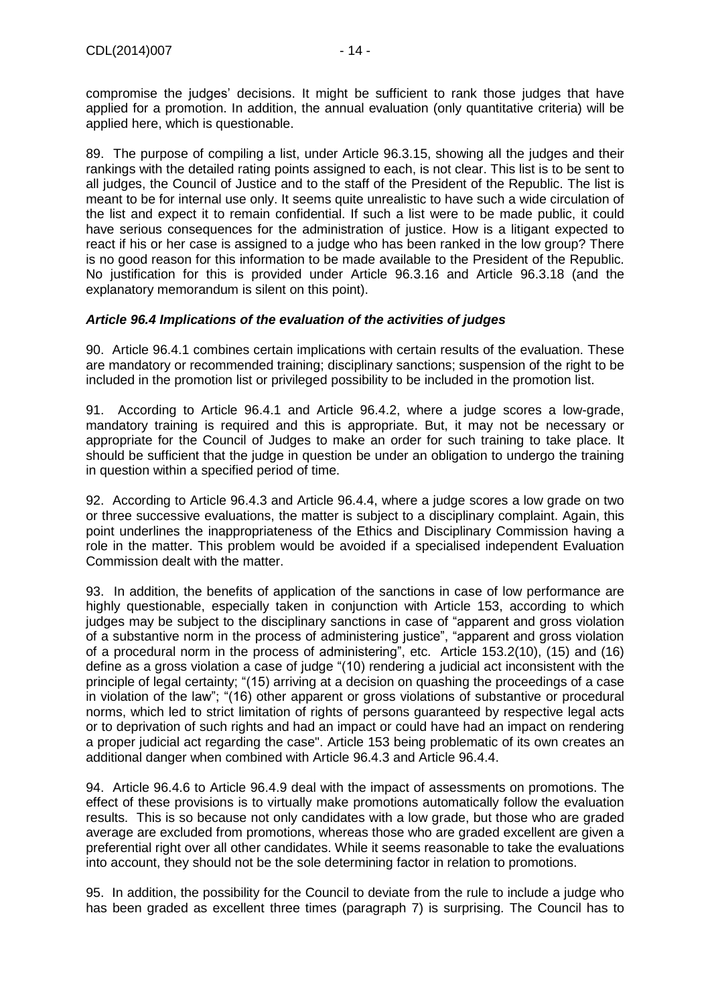compromise the judges' decisions. It might be sufficient to rank those judges that have applied for a promotion. In addition, the annual evaluation (only quantitative criteria) will be applied here, which is questionable.

89. The purpose of compiling a list, under Article 96.3.15, showing all the judges and their rankings with the detailed rating points assigned to each, is not clear. This list is to be sent to all judges, the Council of Justice and to the staff of the President of the Republic. The list is meant to be for internal use only. It seems quite unrealistic to have such a wide circulation of the list and expect it to remain confidential. If such a list were to be made public, it could have serious consequences for the administration of justice. How is a litigant expected to react if his or her case is assigned to a judge who has been ranked in the low group? There is no good reason for this information to be made available to the President of the Republic. No justification for this is provided under Article 96.3.16 and Article 96.3.18 (and the explanatory memorandum is silent on this point).

#### *Article 96.4 Implications of the evaluation of the activities of judges*

90. Article 96.4.1 combines certain implications with certain results of the evaluation. These are mandatory or recommended training; disciplinary sanctions; suspension of the right to be included in the promotion list or privileged possibility to be included in the promotion list.

91. According to Article 96.4.1 and Article 96.4.2, where a judge scores a low-grade, mandatory training is required and this is appropriate. But, it may not be necessary or appropriate for the Council of Judges to make an order for such training to take place. It should be sufficient that the judge in question be under an obligation to undergo the training in question within a specified period of time.

92. According to Article 96.4.3 and Article 96.4.4, where a judge scores a low grade on two or three successive evaluations, the matter is subject to a disciplinary complaint. Again, this point underlines the inappropriateness of the Ethics and Disciplinary Commission having a role in the matter. This problem would be avoided if a specialised independent Evaluation Commission dealt with the matter.

93. In addition, the benefits of application of the sanctions in case of low performance are highly questionable, especially taken in conjunction with Article 153, according to which judges may be subject to the disciplinary sanctions in case of "apparent and gross violation of a substantive norm in the process of administering justice", "apparent and gross violation of a procedural norm in the process of administering", etc. Article 153.2(10), (15) and (16) define as a gross violation a case of judge "(10) rendering a judicial act inconsistent with the principle of legal certainty; "(15) arriving at a decision on quashing the proceedings of a case in violation of the law"; "(16) other apparent or gross violations of substantive or procedural norms, which led to strict limitation of rights of persons guaranteed by respective legal acts or to deprivation of such rights and had an impact or could have had an impact on rendering a proper judicial act regarding the case". Article 153 being problematic of its own creates an additional danger when combined with Article 96.4.3 and Article 96.4.4.

94. Article 96.4.6 to Article 96.4.9 deal with the impact of assessments on promotions. The effect of these provisions is to virtually make promotions automatically follow the evaluation results. This is so because not only candidates with a low grade, but those who are graded average are excluded from promotions, whereas those who are graded excellent are given a preferential right over all other candidates. While it seems reasonable to take the evaluations into account, they should not be the sole determining factor in relation to promotions.

95. In addition, the possibility for the Council to deviate from the rule to include a judge who has been graded as excellent three times (paragraph 7) is surprising. The Council has to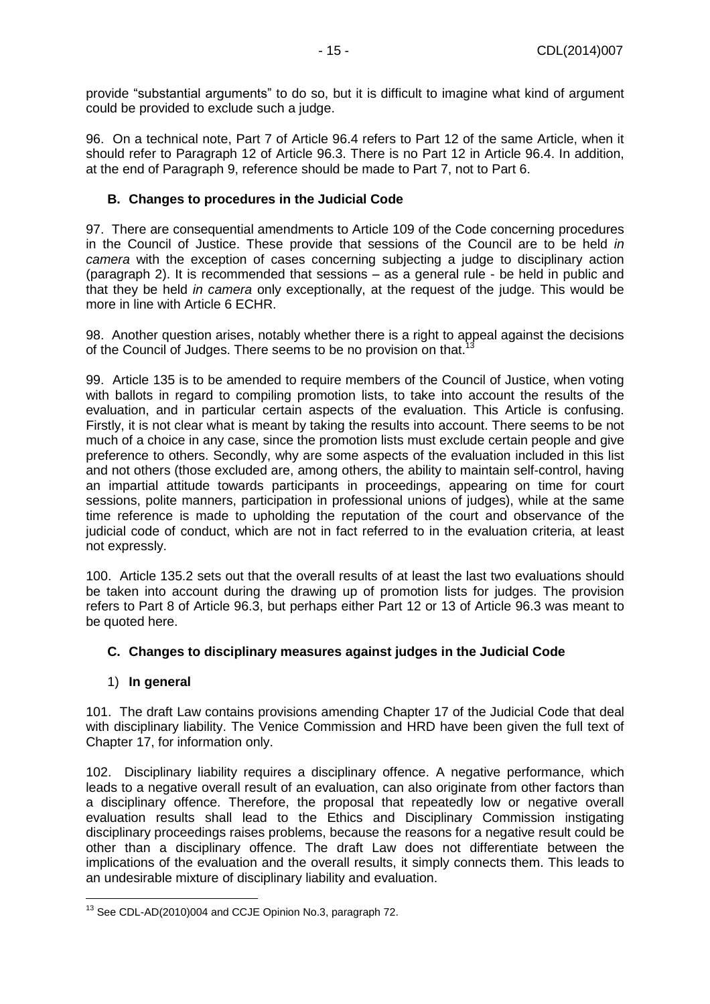provide "substantial arguments" to do so, but it is difficult to imagine what kind of argument could be provided to exclude such a judge.

96. On a technical note, Part 7 of Article 96.4 refers to Part 12 of the same Article, when it should refer to Paragraph 12 of Article 96.3. There is no Part 12 in Article 96.4. In addition, at the end of Paragraph 9, reference should be made to Part 7, not to Part 6.

#### <span id="page-14-0"></span>**B. Changes to procedures in the Judicial Code**

97. There are consequential amendments to Article 109 of the Code concerning procedures in the Council of Justice. These provide that sessions of the Council are to be held *in camera* with the exception of cases concerning subjecting a judge to disciplinary action (paragraph 2). It is recommended that sessions – as a general rule - be held in public and that they be held *in camera* only exceptionally, at the request of the judge. This would be more in line with Article 6 ECHR.

98. Another question arises, notably whether there is a right to appeal against the decisions of the Council of Judges. There seems to be no provision on that.<sup>1</sup>

99. Article 135 is to be amended to require members of the Council of Justice, when voting with ballots in regard to compiling promotion lists, to take into account the results of the evaluation, and in particular certain aspects of the evaluation. This Article is confusing. Firstly, it is not clear what is meant by taking the results into account. There seems to be not much of a choice in any case, since the promotion lists must exclude certain people and give preference to others. Secondly, why are some aspects of the evaluation included in this list and not others (those excluded are, among others, the ability to maintain self-control, having an impartial attitude towards participants in proceedings, appearing on time for court sessions, polite manners, participation in professional unions of judges), while at the same time reference is made to upholding the reputation of the court and observance of the judicial code of conduct, which are not in fact referred to in the evaluation criteria, at least not expressly.

100. Article 135.2 sets out that the overall results of at least the last two evaluations should be taken into account during the drawing up of promotion lists for judges. The provision refers to Part 8 of Article 96.3, but perhaps either Part 12 or 13 of Article 96.3 was meant to be quoted here.

#### <span id="page-14-1"></span>**C. Changes to disciplinary measures against judges in the Judicial Code**

#### <span id="page-14-2"></span>1) **In general**

101. The draft Law contains provisions amending Chapter 17 of the Judicial Code that deal with disciplinary liability. The Venice Commission and HRD have been given the full text of Chapter 17, for information only.

102. Disciplinary liability requires a disciplinary offence. A negative performance, which leads to a negative overall result of an evaluation, can also originate from other factors than a disciplinary offence. Therefore, the proposal that repeatedly low or negative overall evaluation results shall lead to the Ethics and Disciplinary Commission instigating disciplinary proceedings raises problems, because the reasons for a negative result could be other than a disciplinary offence. The draft Law does not differentiate between the implications of the evaluation and the overall results, it simply connects them. This leads to an undesirable mixture of disciplinary liability and evaluation.

 $\overline{a}$  $13$  See CDL-AD(2010)004 and CCJE Opinion No.3, paragraph 72.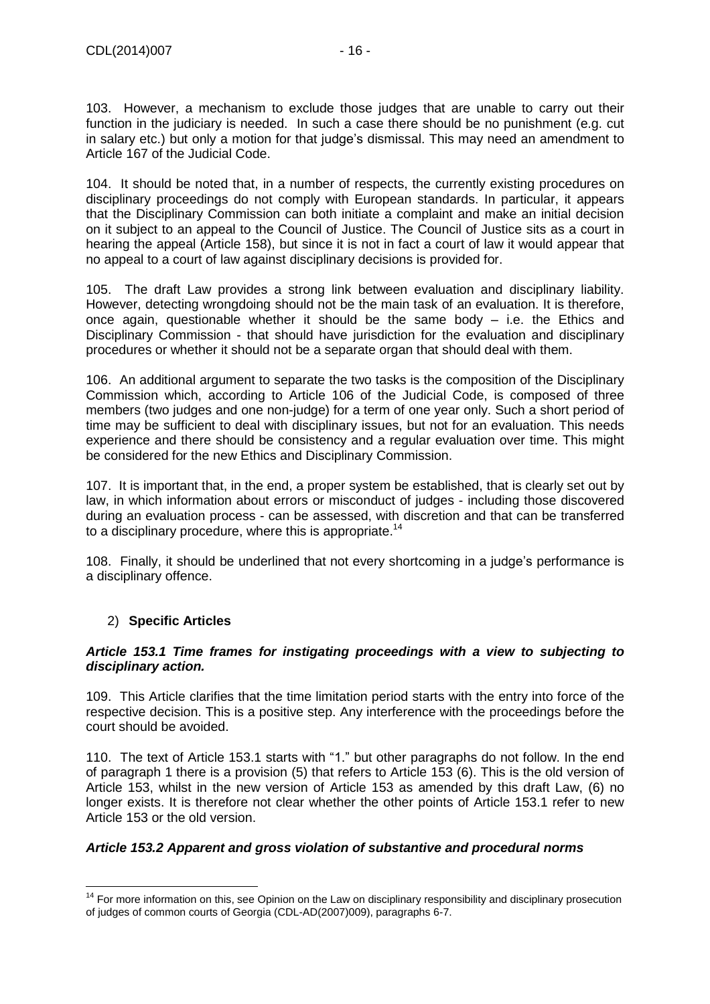103. However, a mechanism to exclude those judges that are unable to carry out their function in the judiciary is needed. In such a case there should be no punishment (e.g. cut in salary etc.) but only a motion for that judge's dismissal. This may need an amendment to Article 167 of the Judicial Code.

104. It should be noted that, in a number of respects, the currently existing procedures on disciplinary proceedings do not comply with European standards. In particular, it appears that the Disciplinary Commission can both initiate a complaint and make an initial decision on it subject to an appeal to the Council of Justice. The Council of Justice sits as a court in hearing the appeal (Article 158), but since it is not in fact a court of law it would appear that no appeal to a court of law against disciplinary decisions is provided for.

105. The draft Law provides a strong link between evaluation and disciplinary liability. However, detecting wrongdoing should not be the main task of an evaluation. It is therefore, once again, questionable whether it should be the same body – i.e. the Ethics and Disciplinary Commission - that should have jurisdiction for the evaluation and disciplinary procedures or whether it should not be a separate organ that should deal with them.

106. An additional argument to separate the two tasks is the composition of the Disciplinary Commission which, according to Article 106 of the Judicial Code, is composed of three members (two judges and one non-judge) for a term of one year only. Such a short period of time may be sufficient to deal with disciplinary issues, but not for an evaluation. This needs experience and there should be consistency and a regular evaluation over time. This might be considered for the new Ethics and Disciplinary Commission.

107. It is important that, in the end, a proper system be established, that is clearly set out by law, in which information about errors or misconduct of judges - including those discovered during an evaluation process - can be assessed, with discretion and that can be transferred to a disciplinary procedure, where this is appropriate.<sup>14</sup>

108. Finally, it should be underlined that not every shortcoming in a judge's performance is a disciplinary offence.

### <span id="page-15-0"></span>2) **Specific Articles**

#### *Article 153.1 Time frames for instigating proceedings with a view to subjecting to disciplinary action.*

109. This Article clarifies that the time limitation period starts with the entry into force of the respective decision. This is a positive step. Any interference with the proceedings before the court should be avoided.

110. The text of Article 153.1 starts with "1." but other paragraphs do not follow. In the end of paragraph 1 there is a provision (5) that refers to Article 153 (6). This is the old version of Article 153, whilst in the new version of Article 153 as amended by this draft Law, (6) no longer exists. It is therefore not clear whether the other points of Article 153.1 refer to new Article 153 or the old version.

### *Article 153.2 Apparent and gross violation of substantive and procedural norms*

 $\overline{a}$ <sup>14</sup> For more information on this, see Opinion on the Law on disciplinary responsibility and disciplinary prosecution of judges of common courts of Georgia (CDL-AD(2007)009), paragraphs 6-7.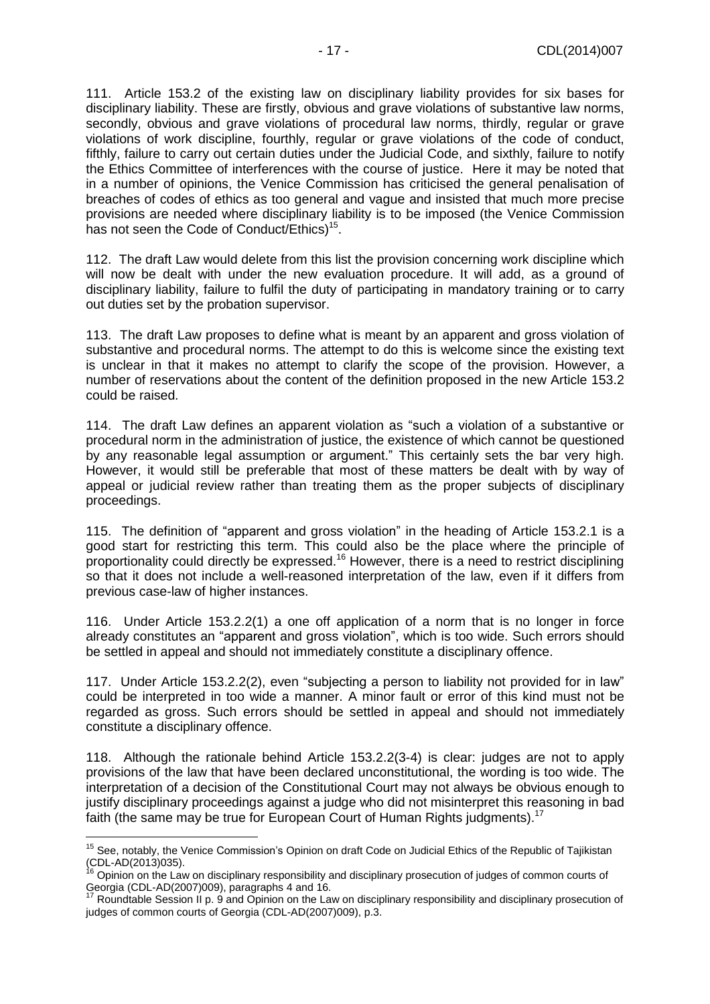111. Article 153.2 of the existing law on disciplinary liability provides for six bases for disciplinary liability. These are firstly, obvious and grave violations of substantive law norms, secondly, obvious and grave violations of procedural law norms, thirdly, regular or grave violations of work discipline, fourthly, regular or grave violations of the code of conduct, fifthly, failure to carry out certain duties under the Judicial Code, and sixthly, failure to notify the Ethics Committee of interferences with the course of justice. Here it may be noted that in a number of opinions, the Venice Commission has criticised the general penalisation of breaches of codes of ethics as too general and vague and insisted that much more precise provisions are needed where disciplinary liability is to be imposed (the Venice Commission has not seen the Code of Conduct/Ethics)<sup>15</sup>.

112. The draft Law would delete from this list the provision concerning work discipline which will now be dealt with under the new evaluation procedure. It will add, as a ground of disciplinary liability, failure to fulfil the duty of participating in mandatory training or to carry out duties set by the probation supervisor.

113. The draft Law proposes to define what is meant by an apparent and gross violation of substantive and procedural norms. The attempt to do this is welcome since the existing text is unclear in that it makes no attempt to clarify the scope of the provision. However, a number of reservations about the content of the definition proposed in the new Article 153.2 could be raised.

114. The draft Law defines an apparent violation as "such a violation of a substantive or procedural norm in the administration of justice, the existence of which cannot be questioned by any reasonable legal assumption or argument." This certainly sets the bar very high. However, it would still be preferable that most of these matters be dealt with by way of appeal or judicial review rather than treating them as the proper subjects of disciplinary proceedings.

115. The definition of "apparent and gross violation" in the heading of Article 153.2.1 is a good start for restricting this term. This could also be the place where the principle of proportionality could directly be expressed.<sup>16</sup> However, there is a need to restrict disciplining so that it does not include a well-reasoned interpretation of the law, even if it differs from previous case-law of higher instances.

116. Under Article 153.2.2(1) a one off application of a norm that is no longer in force already constitutes an "apparent and gross violation", which is too wide. Such errors should be settled in appeal and should not immediately constitute a disciplinary offence.

117. Under Article 153.2.2(2), even "subjecting a person to liability not provided for in law" could be interpreted in too wide a manner. A minor fault or error of this kind must not be regarded as gross. Such errors should be settled in appeal and should not immediately constitute a disciplinary offence.

118. Although the rationale behind Article 153.2.2(3-4) is clear: judges are not to apply provisions of the law that have been declared unconstitutional, the wording is too wide. The interpretation of a decision of the Constitutional Court may not always be obvious enough to justify disciplinary proceedings against a judge who did not misinterpret this reasoning in bad faith (the same may be true for European Court of Human Rights judgments).<sup>17</sup>

 $\overline{a}$ <sup>15</sup> See, notably, the Venice Commission's Opinion on draft Code on Judicial Ethics of the Republic of Tajikistan (CDL-AD(2013)035).

<sup>&</sup>lt;sup>16</sup> Opinion on the Law on disciplinary responsibility and disciplinary prosecution of judges of common courts of Georgia (CDL-AD(2007)009), paragraphs 4 and 16.

Roundtable Session II p. 9 and Opinion on the Law on disciplinary responsibility and disciplinary prosecution of judges of common courts of Georgia (CDL-AD(2007)009), p.3.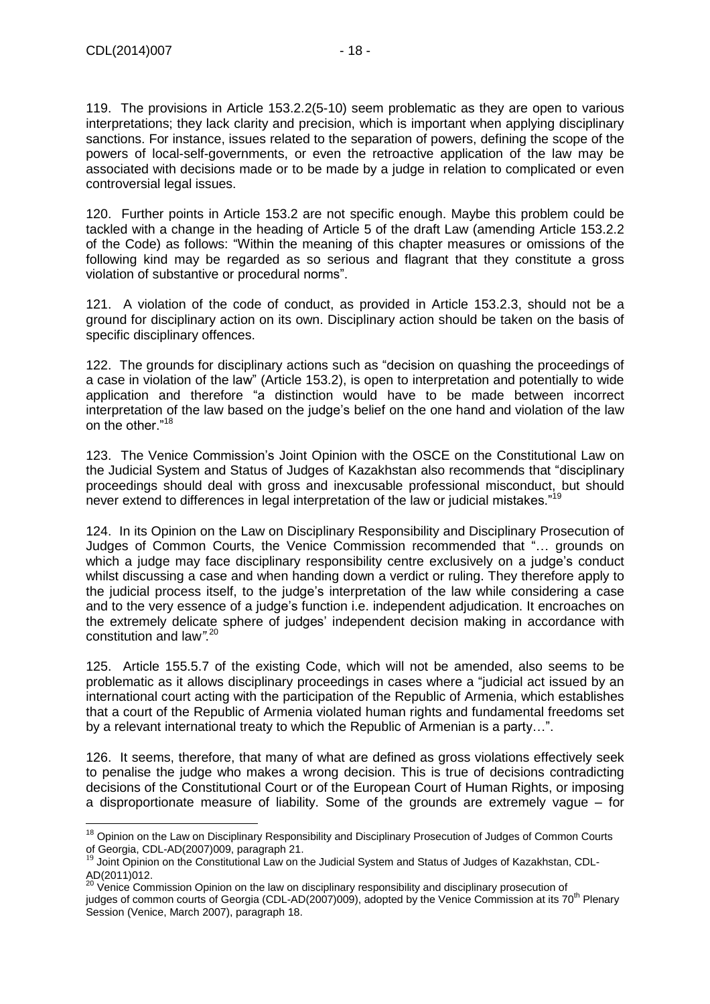$\overline{a}$ 

119. The provisions in Article 153.2.2(5-10) seem problematic as they are open to various interpretations; they lack clarity and precision, which is important when applying disciplinary sanctions. For instance, issues related to the separation of powers, defining the scope of the powers of local-self-governments, or even the retroactive application of the law may be associated with decisions made or to be made by a judge in relation to complicated or even controversial legal issues.

120. Further points in Article 153.2 are not specific enough. Maybe this problem could be tackled with a change in the heading of Article 5 of the draft Law (amending Article 153.2.2 of the Code) as follows: "Within the meaning of this chapter measures or omissions of the following kind may be regarded as so serious and flagrant that they constitute a gross violation of substantive or procedural norms".

121. A violation of the code of conduct, as provided in Article 153.2.3, should not be a ground for disciplinary action on its own. Disciplinary action should be taken on the basis of specific disciplinary offences.

122. The grounds for disciplinary actions such as "decision on quashing the proceedings of a case in violation of the law" (Article 153.2), is open to interpretation and potentially to wide application and therefore "a distinction would have to be made between incorrect interpretation of the law based on the judge's belief on the one hand and violation of the law on the other."<sup>18</sup>

123. The Venice Commission's Joint Opinion with the OSCE on the Constitutional Law on the Judicial System and Status of Judges of Kazakhstan also recommends that "disciplinary proceedings should deal with gross and inexcusable professional misconduct, but should never extend to differences in legal interpretation of the law or judicial mistakes."<sup>19</sup>

124. In its Opinion on the Law on Disciplinary Responsibility and Disciplinary Prosecution of Judges of Common Courts, the Venice Commission recommended that "… grounds on which a judge may face disciplinary responsibility centre exclusively on a judge's conduct whilst discussing a case and when handing down a verdict or ruling. They therefore apply to the judicial process itself, to the judge's interpretation of the law while considering a case and to the very essence of a judge's function i.e. independent adjudication. It encroaches on the extremely delicate sphere of judges' independent decision making in accordance with constitution and law*"*. 20

125. Article 155.5.7 of the existing Code, which will not be amended, also seems to be problematic as it allows disciplinary proceedings in cases where a "judicial act issued by an international court acting with the participation of the Republic of Armenia, which establishes that a court of the Republic of Armenia violated human rights and fundamental freedoms set by a relevant international treaty to which the Republic of Armenian is a party…".

126. It seems, therefore, that many of what are defined as gross violations effectively seek to penalise the judge who makes a wrong decision. This is true of decisions contradicting decisions of the Constitutional Court or of the European Court of Human Rights, or imposing a disproportionate measure of liability. Some of the grounds are extremely vague – for

<sup>&</sup>lt;sup>18</sup> Opinion on the Law on Disciplinary Responsibility and Disciplinary Prosecution of Judges of Common Courts of Georgia, CDL-AD(2007)009, paragraph 21.

 $19$  Joint Opinion on the Constitutional Law on the Judicial System and Status of Judges of Kazakhstan, CDL-AD(2011)012.

 $^{20}$  Venice Commission Opinion on the law on disciplinary responsibility and disciplinary prosecution of judges of common courts of Georgia (CDL-AD(2007)009), adopted by the Venice Commission at its 70<sup>th</sup> Plenary Session (Venice, March 2007), paragraph 18.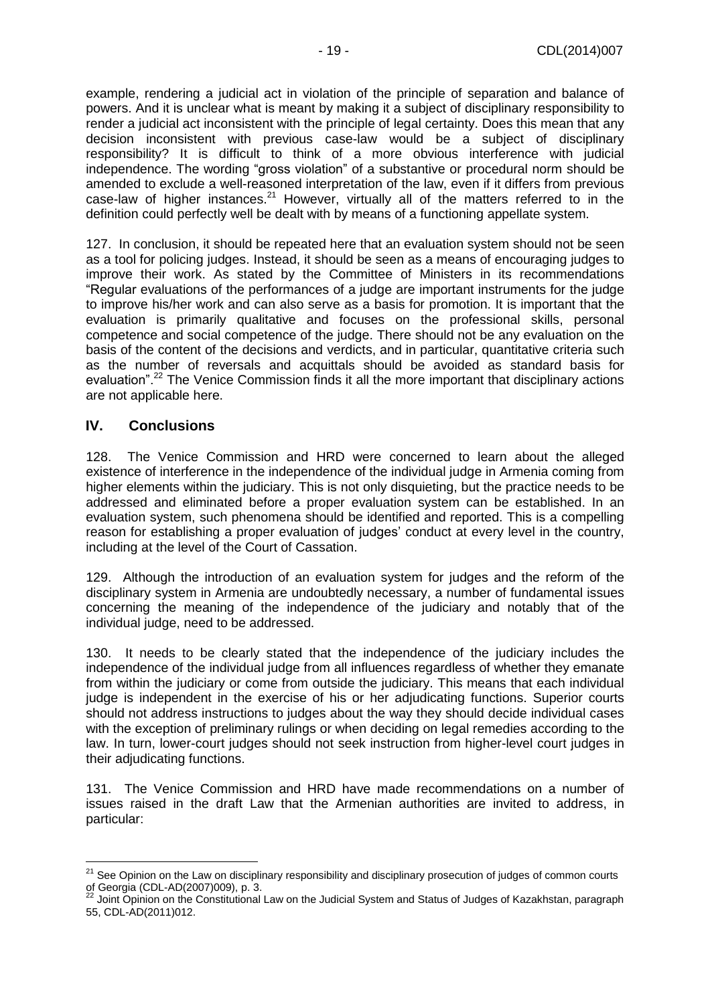example, rendering a judicial act in violation of the principle of separation and balance of powers. And it is unclear what is meant by making it a subject of disciplinary responsibility to render a judicial act inconsistent with the principle of legal certainty. Does this mean that any decision inconsistent with previous case-law would be a subject of disciplinary responsibility? It is difficult to think of a more obvious interference with judicial independence. The wording "gross violation" of a substantive or procedural norm should be amended to exclude a well-reasoned interpretation of the law, even if it differs from previous case-law of higher instances.<sup>21</sup> However, virtually all of the matters referred to in the definition could perfectly well be dealt with by means of a functioning appellate system.

127. In conclusion, it should be repeated here that an evaluation system should not be seen as a tool for policing judges. Instead, it should be seen as a means of encouraging judges to improve their work. As stated by the Committee of Ministers in its recommendations "Regular evaluations of the performances of a judge are important instruments for the judge to improve his/her work and can also serve as a basis for promotion. It is important that the evaluation is primarily qualitative and focuses on the professional skills, personal competence and social competence of the judge. There should not be any evaluation on the basis of the content of the decisions and verdicts, and in particular, quantitative criteria such as the number of reversals and acquittals should be avoided as standard basis for evaluation".<sup>22</sup> The Venice Commission finds it all the more important that disciplinary actions are not applicable here.

### <span id="page-18-0"></span>**IV. Conclusions**

 $\overline{a}$ 

128. The Venice Commission and HRD were concerned to learn about the alleged existence of interference in the independence of the individual judge in Armenia coming from higher elements within the judiciary. This is not only disquieting, but the practice needs to be addressed and eliminated before a proper evaluation system can be established. In an evaluation system, such phenomena should be identified and reported. This is a compelling reason for establishing a proper evaluation of judges' conduct at every level in the country, including at the level of the Court of Cassation.

129. Although the introduction of an evaluation system for judges and the reform of the disciplinary system in Armenia are undoubtedly necessary, a number of fundamental issues concerning the meaning of the independence of the judiciary and notably that of the individual judge, need to be addressed.

130. It needs to be clearly stated that the independence of the judiciary includes the independence of the individual judge from all influences regardless of whether they emanate from within the judiciary or come from outside the judiciary. This means that each individual judge is independent in the exercise of his or her adjudicating functions. Superior courts should not address instructions to judges about the way they should decide individual cases with the exception of preliminary rulings or when deciding on legal remedies according to the law. In turn, lower-court judges should not seek instruction from higher-level court judges in their adjudicating functions.

131. The Venice Commission and HRD have made recommendations on a number of issues raised in the draft Law that the Armenian authorities are invited to address, in particular:

<sup>&</sup>lt;sup>21</sup> See Opinion on the Law on disciplinary responsibility and disciplinary prosecution of judges of common courts of Georgia (CDL-AD(2007)009), p. 3.

 $^{22}$  Joint Opinion on the Constitutional Law on the Judicial System and Status of Judges of Kazakhstan, paragraph 55, CDL-AD(2011)012.